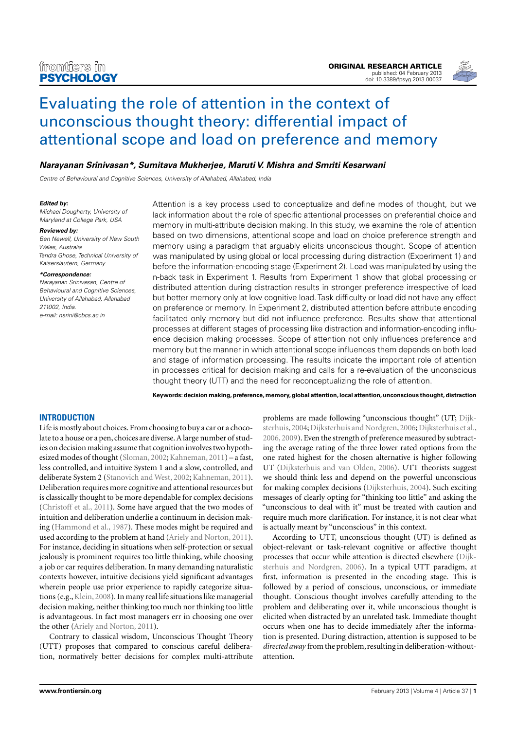

# Evaluating the role of attention in the context of unconscious thought theory: differential impact of attentional scope and load on preference and memory

# *Narayanan Srinivasan\*, Sumitava Mukherjee, Maruti V. Mishra and Smriti Kesarwani*

*Centre of Behavioural and Cognitive Sciences, University of Allahabad, Allahabad, India*

#### *Edited by:*

*Michael Dougherty, University of Maryland at College Park, USA*

#### *Reviewed by:*

*Ben Newell, University of New South Wales, Australia Tandra Ghose, Technical University of Kaiserslautern, Germany*

#### *\*Correspondence:*

*Narayanan Srinivasan, Centre of Behavioural and Cognitive Sciences, University of Allahabad, Allahabad 211002, India. e-mail: nsrini@cbcs.ac.in*

Attention is a key process used to conceptualize and define modes of thought, but we lack information about the role of specific attentional processes on preferential choice and memory in multi-attribute decision making. In this study, we examine the role of attention based on two dimensions, attentional scope and load on choice preference strength and memory using a paradigm that arguably elicits unconscious thought. Scope of attention was manipulated by using global or local processing during distraction (Experiment 1) and before the information-encoding stage (Experiment 2). Load was manipulated by using the n-back task in Experiment 1. Results from Experiment 1 show that global processing or distributed attention during distraction results in stronger preference irrespective of load but better memory only at low cognitive load. Task difficulty or load did not have any effect on preference or memory. In Experiment 2, distributed attention before attribute encoding facilitated only memory but did not influence preference. Results show that attentional processes at different stages of processing like distraction and information-encoding influence decision making processes. Scope of attention not only influences preference and memory but the manner in which attentional scope influences them depends on both load and stage of information processing. The results indicate the important role of attention in processes critical for decision making and calls for a re-evaluation of the unconscious thought theory (UTT) and the need for reconceptualizing the role of attention.

**Keywords: decision making, preference, memory, global attention, local attention, unconscious thought, distraction**

## **INTRODUCTION**

Life is mostly about choices. From choosing to buy a car or a chocolate to a house or a pen, choices are diverse. A large number of studies on decision making assume that cognition involves two hypothesized modes of thought (Sloman, 2002; Kahneman, 2011) – a fast, less controlled, and intuitive System 1 and a slow, controlled, and deliberate System 2 (Stanovich and West, 2002; Kahneman, 2011). Deliberation requires more cognitive and attentional resources but is classically thought to be more dependable for complex decisions (Christoff et al., 2011). Some have argued that the two modes of intuition and deliberation underlie a continuum in decision making (Hammond et al., 1987). These modes might be required and used according to the problem at hand (Ariely and Norton, 2011). For instance, deciding in situations when self-protection or sexual jealously is prominent requires too little thinking, while choosing a job or car requires deliberation. In many demanding naturalistic contexts however, intuitive decisions yield significant advantages wherein people use prior experience to rapidly categorize situations (e.g., Klein, 2008). In many real life situations like managerial decision making, neither thinking too much nor thinking too little is advantageous. In fact most managers err in choosing one over the other (Ariely and Norton, 2011).

Contrary to classical wisdom, Unconscious Thought Theory (UTT) proposes that compared to conscious careful deliberation, normatively better decisions for complex multi-attribute problems are made following "unconscious thought" (UT; Dijksterhuis,2004;Dijksterhuis and Nordgren,2006;Dijksterhuis et al., 2006, 2009). Even the strength of preference measured by subtracting the average rating of the three lower rated options from the one rated highest for the chosen alternative is higher following UT (Dijksterhuis and van Olden, 2006). UTT theorists suggest we should think less and depend on the powerful unconscious for making complex decisions (Dijksterhuis, 2004). Such exciting messages of clearly opting for "thinking too little" and asking the "unconscious to deal with it" must be treated with caution and require much more clarification. For instance, it is not clear what is actually meant by "unconscious" in this context.

According to UTT, unconscious thought (UT) is defined as object-relevant or task-relevant cognitive or affective thought processes that occur while attention is directed elsewhere (Dijksterhuis and Nordgren, 2006). In a typical UTT paradigm, at first, information is presented in the encoding stage. This is followed by a period of conscious, unconscious, or immediate thought. Conscious thought involves carefully attending to the problem and deliberating over it, while unconscious thought is elicited when distracted by an unrelated task. Immediate thought occurs when one has to decide immediately after the information is presented. During distraction, attention is supposed to be *directed away* from the problem, resulting in deliberation-withoutattention.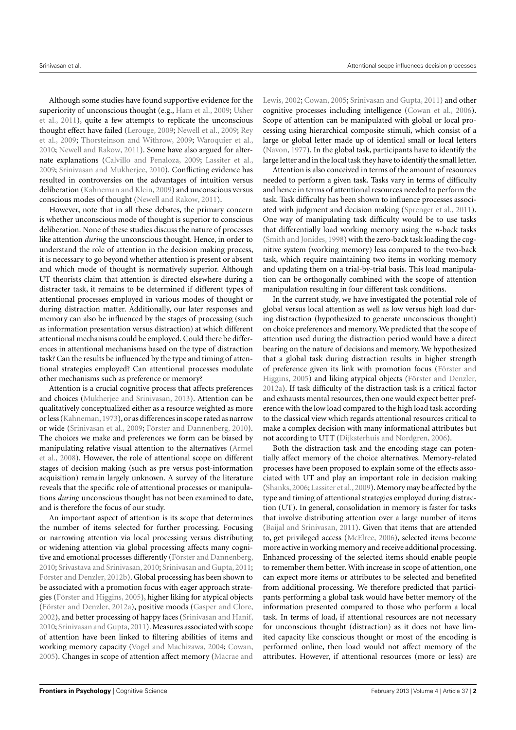Although some studies have found supportive evidence for the superiority of unconscious thought (e.g., Ham et al., 2009; Usher et al., 2011), quite a few attempts to replicate the unconscious thought effect have failed (Lerouge, 2009; Newell et al., 2009; Rey et al., 2009; Thorsteinson and Withrow, 2009; Waroquier et al., 2010; Newell and Rakow, 2011). Some have also argued for alternate explanations (Calvillo and Penaloza, 2009; Lassiter et al., 2009; Srinivasan and Mukherjee, 2010). Conflicting evidence has resulted in controversies on the advantages of intuition versus deliberation (Kahneman and Klein, 2009) and unconscious versus conscious modes of thought (Newell and Rakow, 2011).

However, note that in all these debates, the primary concern is whether unconscious mode of thought is superior to conscious deliberation. None of these studies discuss the nature of processes like attention *during* the unconscious thought. Hence, in order to understand the role of attention in the decision making process, it is necessary to go beyond whether attention is present or absent and which mode of thought is normatively superior. Although UT theorists claim that attention is directed elsewhere during a distracter task, it remains to be determined if different types of attentional processes employed in various modes of thought or during distraction matter. Additionally, our later responses and memory can also be influenced by the stages of processing (such as information presentation versus distraction) at which different attentional mechanisms could be employed. Could there be differences in attentional mechanisms based on the type of distraction task? Can the results be influenced by the type and timing of attentional strategies employed? Can attentional processes modulate other mechanisms such as preference or memory?

Attention is a crucial cognitive process that affects preferences and choices (Mukherjee and Srinivasan, 2013). Attention can be qualitatively conceptualized either as a resource weighted as more or less (Kahneman,1973), or as differences in scope rated as narrow or wide (Srinivasan et al., 2009; Förster and Dannenberg, 2010). The choices we make and preferences we form can be biased by manipulating relative visual attention to the alternatives (Armel et al., 2008). However, the role of attentional scope on different stages of decision making (such as pre versus post-information acquisition) remain largely unknown. A survey of the literature reveals that the specific role of attentional processes or manipulations *during* unconscious thought has not been examined to date, and is therefore the focus of our study.

An important aspect of attention is its scope that determines the number of items selected for further processing. Focusing or narrowing attention via local processing versus distributing or widening attention via global processing affects many cognitive and emotional processes differently (Förster and Dannenberg, 2010; Srivastava and Srinivasan, 2010; Srinivasan and Gupta, 2011; Förster and Denzler, 2012b). Global processing has been shown to be associated with a promotion focus with eager approach strategies (Förster and Higgins, 2005), higher liking for atypical objects (Förster and Denzler, 2012a), positive moods (Gasper and Clore, 2002), and better processing of happy faces (Srinivasan and Hanif, 2010; Srinivasan and Gupta,2011). Measures associated with scope of attention have been linked to filtering abilities of items and working memory capacity (Vogel and Machizawa, 2004; Cowan, 2005). Changes in scope of attention affect memory (Macrae and

Lewis, 2002; Cowan, 2005; Srinivasan and Gupta, 2011) and other cognitive processes including intelligence (Cowan et al., 2006). Scope of attention can be manipulated with global or local processing using hierarchical composite stimuli, which consist of a large or global letter made up of identical small or local letters (Navon, 1977). In the global task, participants have to identify the large letter and in the local task they have to identify the small letter.

Attention is also conceived in terms of the amount of resources needed to perform a given task. Tasks vary in terms of difficulty and hence in terms of attentional resources needed to perform the task. Task difficulty has been shown to influence processes associated with judgment and decision making (Sprenger et al., 2011). One way of manipulating task difficulty would be to use tasks that differentially load working memory using the *n*-back tasks (Smith and Jonides, 1998) with the zero-back task loading the cognitive system (working memory) less compared to the two-back task, which require maintaining two items in working memory and updating them on a trial-by-trial basis. This load manipulation can be orthogonally combined with the scope of attention manipulation resulting in four different task conditions.

In the current study, we have investigated the potential role of global versus local attention as well as low versus high load during distraction (hypothesized to generate unconscious thought) on choice preferences and memory. We predicted that the scope of attention used during the distraction period would have a direct bearing on the nature of decisions and memory. We hypothesized that a global task during distraction results in higher strength of preference given its link with promotion focus (Förster and Higgins, 2005) and liking atypical objects (Förster and Denzler, 2012a). If task difficulty of the distraction task is a critical factor and exhausts mental resources, then one would expect better preference with the low load compared to the high load task according to the classical view which regards attentional resources critical to make a complex decision with many informational attributes but not according to UTT (Dijksterhuis and Nordgren, 2006).

Both the distraction task and the encoding stage can potentially affect memory of the choice alternatives. Memory-related processes have been proposed to explain some of the effects associated with UT and play an important role in decision making (Shanks,2006; Lassiter et al.,2009). Memory may be affected by the type and timing of attentional strategies employed during distraction (UT). In general, consolidation in memory is faster for tasks that involve distributing attention over a large number of items (Baijal and Srinivasan, 2011). Given that items that are attended to, get privileged access (McElree, 2006), selected items become more active in working memory and receive additional processing. Enhanced processing of the selected items should enable people to remember them better. With increase in scope of attention, one can expect more items or attributes to be selected and benefited from additional processing. We therefore predicted that participants performing a global task would have better memory of the information presented compared to those who perform a local task. In terms of load, if attentional resources are not necessary for unconscious thought (distraction) as it does not have limited capacity like conscious thought or most of the encoding is performed online, then load would not affect memory of the attributes. However, if attentional resources (more or less) are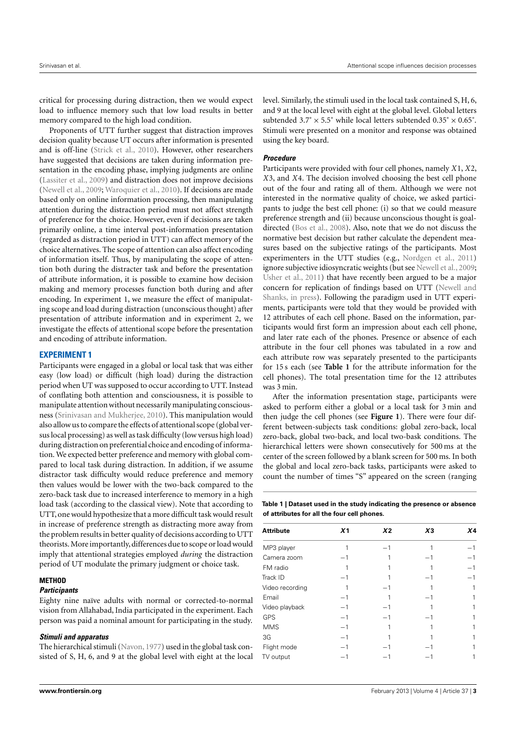critical for processing during distraction, then we would expect load to influence memory such that low load results in better memory compared to the high load condition.

Proponents of UTT further suggest that distraction improves decision quality because UT occurs after information is presented and is off-line (Strick et al., 2010). However, other researchers have suggested that decisions are taken during information presentation in the encoding phase, implying judgments are online (Lassiter et al., 2009) and distraction does not improve decisions (Newell et al., 2009; Waroquier et al., 2010). If decisions are made based only on online information processing, then manipulating attention during the distraction period must not affect strength of preference for the choice. However, even if decisions are taken primarily online, a time interval post-information presentation (regarded as distraction period in UTT) can affect memory of the choice alternatives. The scope of attention can also affect encoding of information itself. Thus, by manipulating the scope of attention both during the distracter task and before the presentation of attribute information, it is possible to examine how decision making and memory processes function both during and after encoding. In experiment 1, we measure the effect of manipulating scope and load during distraction (unconscious thought) after presentation of attribute information and in experiment 2, we investigate the effects of attentional scope before the presentation and encoding of attribute information.

# **EXPERIMENT 1**

Participants were engaged in a global or local task that was either easy (low load) or difficult (high load) during the distraction period when UT was supposed to occur according to UTT. Instead of conflating both attention and consciousness, it is possible to manipulate attention without necessarily manipulating consciousness (Srinivasan and Mukherjee, 2010). This manipulation would also allow us to compare the effects of attentional scope (global versus local processing) as well as task difficulty (low versus high load) during distraction on preferential choice and encoding of information. We expected better preference and memory with global compared to local task during distraction. In addition, if we assume distractor task difficulty would reduce preference and memory then values would be lower with the two-back compared to the zero-back task due to increased interference to memory in a high load task (according to the classical view). Note that according to UTT, one would hypothesize that a more difficult task would result in increase of preference strength as distracting more away from the problem results in better quality of decisions according to UTT theorists.More importantly, differences due to scope or load would imply that attentional strategies employed *during* the distraction period of UT modulate the primary judgment or choice task.

# **METHOD**

## **Participants**

Eighty nine naïve adults with normal or corrected-to-normal vision from Allahabad, India participated in the experiment. Each person was paid a nominal amount for participating in the study.

#### **Stimuli and apparatus**

The hierarchical stimuli (Navon, 1977) used in the global task consisted of S, H, 6, and 9 at the global level with eight at the local level. Similarly, the stimuli used in the local task contained S, H, 6, and 9 at the local level with eight at the global level. Global letters subtended  $3.7^\circ \times 5.5^\circ$  while local letters subtended  $0.35^\circ \times 0.65^\circ$ . Stimuli were presented on a monitor and response was obtained using the key board.

## **Procedure**

Participants were provided with four cell phones, namely *X*1, *X*2, *X*3, and *X*4. The decision involved choosing the best cell phone out of the four and rating all of them. Although we were not interested in the normative quality of choice, we asked participants to judge the best cell phone: (i) so that we could measure preference strength and (ii) because unconscious thought is goaldirected (Bos et al., 2008). Also, note that we do not discuss the normative best decision but rather calculate the dependent measures based on the subjective ratings of the participants. Most experimenters in the UTT studies (e.g., Nordgen et al., 2011) ignore subjective idiosyncratic weights (but see Newell et al., 2009; Usher et al., 2011) that have recently been argued to be a major concern for replication of findings based on UTT (Newell and Shanks, in press). Following the paradigm used in UTT experiments, participants were told that they would be provided with 12 attributes of each cell phone. Based on the information, participants would first form an impression about each cell phone, and later rate each of the phones. Presence or absence of each attribute in the four cell phones was tabulated in a row and each attribute row was separately presented to the participants for 15 s each (see **Table 1** for the attribute information for the cell phones). The total presentation time for the 12 attributes was 3 min.

After the information presentation stage, participants were asked to perform either a global or a local task for 3 min and then judge the cell phones (see **Figure 1**). There were four different between-subjects task conditions: global zero-back, local zero-back, global two-back, and local two-bask conditions. The hierarchical letters were shown consecutively for 500 ms at the center of the screen followed by a blank screen for 500 ms. In both the global and local zero-back tasks, participants were asked to count the number of times "S" appeared on the screen (ranging

**Table 1 | Dataset used in the study indicating the presence or absence of attributes for all the four cell phones.**

| <b>Attribute</b> | X <sub>1</sub>           | X <sub>2</sub> | $X_3$ | X4 |
|------------------|--------------------------|----------------|-------|----|
| MP3 player       |                          | - 1            |       |    |
| Camera zoom      | $\overline{\phantom{0}}$ |                | $-1$  |    |
| FM radio         |                          |                |       |    |
| Track ID         | -1                       |                | $-1$  |    |
| Video recording  |                          | $-1$           |       |    |
| Email            |                          |                | - 1   |    |
| Video playback   | $-1$                     | $-1$           |       |    |
| <b>GPS</b>       | -1                       | $-1$           |       |    |
| <b>MMS</b>       | $-1$                     |                |       |    |
| 3G               | -1                       |                |       |    |
| Flight mode      |                          |                |       |    |
| TV output        |                          |                |       |    |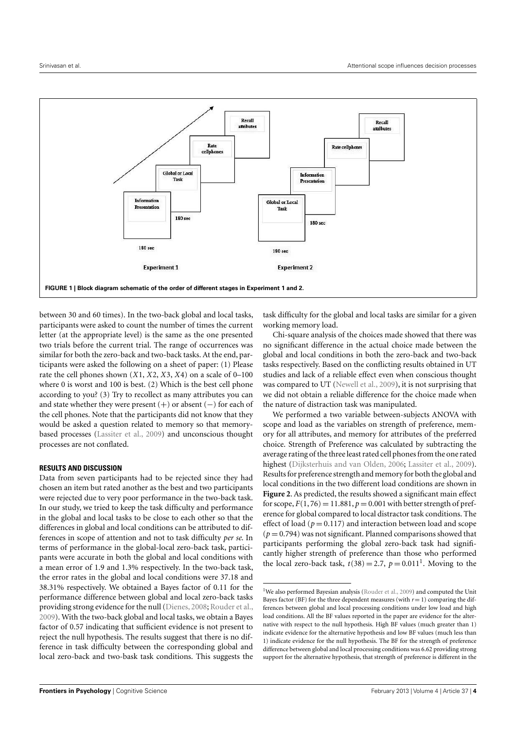

between 30 and 60 times). In the two-back global and local tasks, participants were asked to count the number of times the current letter (at the appropriate level) is the same as the one presented two trials before the current trial. The range of occurrences was similar for both the zero-back and two-back tasks. At the end, participants were asked the following on a sheet of paper: (1) Please rate the cell phones shown (*X*1, *X*2, *X*3, *X*4) on a scale of 0–100 where 0 is worst and 100 is best. (2) Which is the best cell phone according to you? (3) Try to recollect as many attributes you can and state whether they were present  $(+)$  or absent  $(-)$  for each of the cell phones. Note that the participants did not know that they would be asked a question related to memory so that memorybased processes (Lassiter et al., 2009) and unconscious thought processes are not conflated.

## **RESULTS AND DISCUSSION**

Data from seven participants had to be rejected since they had chosen an item but rated another as the best and two participants were rejected due to very poor performance in the two-back task. In our study, we tried to keep the task difficulty and performance in the global and local tasks to be close to each other so that the differences in global and local conditions can be attributed to differences in scope of attention and not to task difficulty *per se*. In terms of performance in the global-local zero-back task, participants were accurate in both the global and local conditions with a mean error of 1.9 and 1.3% respectively. In the two-back task, the error rates in the global and local conditions were 37.18 and 38.31% respectively. We obtained a Bayes factor of 0.11 for the performance difference between global and local zero-back tasks providing strong evidence for the null (Dienes, 2008; Rouder et al., 2009). With the two-back global and local tasks, we obtain a Bayes factor of 0.57 indicating that sufficient evidence is not present to reject the null hypothesis. The results suggest that there is no difference in task difficulty between the corresponding global and local zero-back and two-bask task conditions. This suggests the task difficulty for the global and local tasks are similar for a given working memory load.

Chi-square analysis of the choices made showed that there was no significant difference in the actual choice made between the global and local conditions in both the zero-back and two-back tasks respectively. Based on the conflicting results obtained in UT studies and lack of a reliable effect even when conscious thought was compared to UT (Newell et al., 2009), it is not surprising that we did not obtain a reliable difference for the choice made when the nature of distraction task was manipulated.

We performed a two variable between-subjects ANOVA with scope and load as the variables on strength of preference, memory for all attributes, and memory for attributes of the preferred choice. Strength of Preference was calculated by subtracting the average rating of the three least rated cell phones from the one rated highest (Dijksterhuis and van Olden, 2006; Lassiter et al., 2009). Results for preference strength and memory for both the global and local conditions in the two different load conditions are shown in **Figure 2**. As predicted, the results showed a significant main effect for scope,  $F(1, 76) = 11.881$ ,  $p = 0.001$  with better strength of preference for global compared to local distractor task conditions. The effect of load ( $p = 0.117$ ) and interaction between load and scope  $(p=0.794)$  was not significant. Planned comparisons showed that participants performing the global zero-back task had significantly higher strength of preference than those who performed the local zero-back task,  $t(38) = 2.7$ ,  $p = 0.011<sup>1</sup>$ . Moving to the

<sup>&</sup>lt;sup>1</sup>We also performed Bayesian analysis (Rouder et al., 2009) and computed the Unit Bayes factor (BF) for the three dependent measures (with  $r = 1$ ) comparing the differences between global and local processing conditions under low load and high load conditions. All the BF values reported in the paper are evidence for the alternative with respect to the null hypothesis. High BF values (much greater than 1) indicate evidence for the alternative hypothesis and low BF values (much less than 1) indicate evidence for the null hypothesis. The BF for the strength of preference difference between global and local processing conditions was 6.62 providing strong support for the alternative hypothesis, that strength of preference is different in the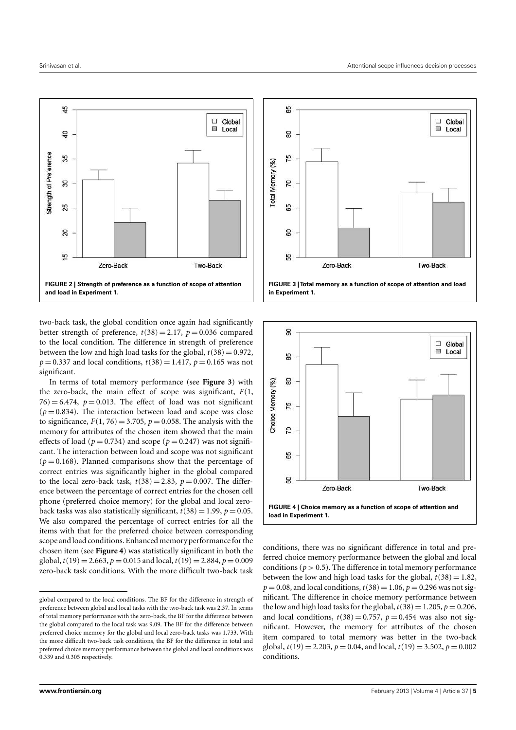

two-back task, the global condition once again had significantly better strength of preference,  $t(38) = 2.17$ ,  $p = 0.036$  compared to the local condition. The difference in strength of preference between the low and high load tasks for the global,  $t(38) = 0.972$ ,  $p = 0.337$  and local conditions,  $t(38) = 1.417$ ,  $p = 0.165$  was not significant.

In terms of total memory performance (see **Figure 3**) with the zero-back, the main effect of scope was significant, *F*(1,  $76$ ) = 6.474,  $p = 0.013$ . The effect of load was not significant  $(p=0.834)$ . The interaction between load and scope was close to significance,  $F(1, 76) = 3.705$ ,  $p = 0.058$ . The analysis with the memory for attributes of the chosen item showed that the main effects of load ( $p = 0.734$ ) and scope ( $p = 0.247$ ) was not significant. The interaction between load and scope was not significant  $(p=0.168)$ . Planned comparisons show that the percentage of correct entries was significantly higher in the global compared to the local zero-back task,  $t(38) = 2.83$ ,  $p = 0.007$ . The difference between the percentage of correct entries for the chosen cell phone (preferred choice memory) for the global and local zeroback tasks was also statistically significant,  $t(38) = 1.99$ ,  $p = 0.05$ . We also compared the percentage of correct entries for all the items with that for the preferred choice between corresponding scope and load conditions. Enhanced memory performance for the chosen item (see **Figure 4**) was statistically significant in both the global,  $t(19) = 2.663$ ,  $p = 0.015$  and local,  $t(19) = 2.884$ ,  $p = 0.009$ zero-back task conditions. With the more difficult two-back task





conditions, there was no significant difference in total and preferred choice memory performance between the global and local conditions ( $p > 0.5$ ). The difference in total memory performance between the low and high load tasks for the global,  $t(38) = 1.82$ ,  $p = 0.08$ , and local conditions,  $t(38) = 1.06$ ,  $p = 0.296$  was not significant. The difference in choice memory performance between the low and high load tasks for the global,  $t(38) = 1.205$ ,  $p = 0.206$ , and local conditions,  $t(38) = 0.757$ ,  $p = 0.454$  was also not significant. However, the memory for attributes of the chosen item compared to total memory was better in the two-back global,  $t(19) = 2.203$ ,  $p = 0.04$ , and local,  $t(19) = 3.502$ ,  $p = 0.002$ conditions.

global compared to the local conditions. The BF for the difference in strength of preference between global and local tasks with the two-back task was 2.37. In terms of total memory performance with the zero-back, the BF for the difference between the global compared to the local task was 9.09. The BF for the difference between preferred choice memory for the global and local zero-back tasks was 1.733. With the more difficult two-back task conditions, the BF for the difference in total and preferred choice memory performance between the global and local conditions was 0.339 and 0.305 respectively.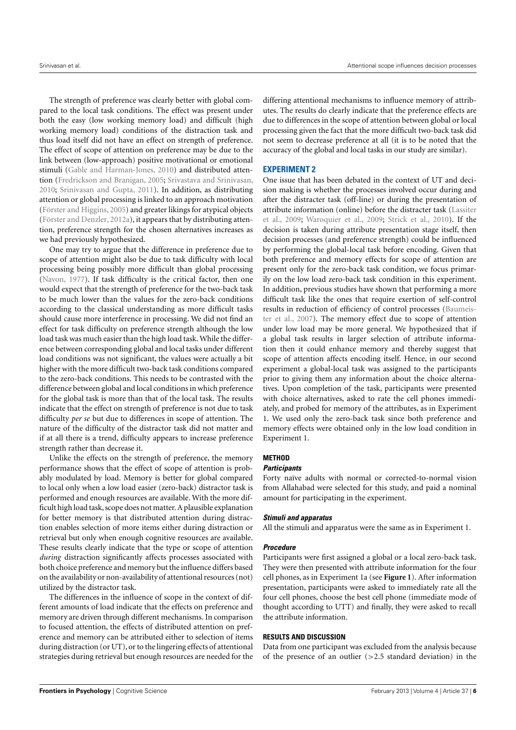The strength of preference was clearly better with global compared to the local task conditions. The effect was present under both the easy (low working memory load) and difficult (high working memory load) conditions of the distraction task and thus load itself did not have an effect on strength of preference. The effect of scope of attention on preference may be due to the link between (low-approach) positive motivational or emotional stimuli (Gable and Harman-Jones, 2010) and distributed attention (Fredrickson and Branigan, 2005; Srivastava and Srinivasan, 2010; Srinivasan and Gupta, 2011). In addition, as distributing attention or global processing is linked to an approach motivation (Förster and Higgins, 2005) and greater likings for atypical objects (Förster and Denzler, 2012a), it appears that by distributing attention, preference strength for the chosen alternatives increases as we had previously hypothesized.

One may try to argue that the difference in preference due to scope of attention might also be due to task difficulty with local processing being possibly more difficult than global processing (Navon, 1977). If task difficulty is the critical factor, then one would expect that the strength of preference for the two-back task to be much lower than the values for the zero-back conditions according to the classical understanding as more difficult tasks should cause more interference in processing. We did not find an effect for task difficulty on preference strength although the low load task was much easier than the high load task.While the difference between corresponding global and local tasks under different load conditions was not significant, the values were actually a bit higher with the more difficult two-back task conditions compared to the zero-back conditions. This needs to be contrasted with the difference between global and local conditions in which preference for the global task is more than that of the local task. The results indicate that the effect on strength of preference is not due to task difficulty *per se* but due to differences in scope of attention. The nature of the difficulty of the distractor task did not matter and if at all there is a trend, difficulty appears to increase preference strength rather than decrease it.

Unlike the effects on the strength of preference, the memory performance shows that the effect of scope of attention is probably modulated by load. Memory is better for global compared to local only when a low load easier (zero-back) distractor task is performed and enough resources are available. With the more difficult high load task, scope does not matter. A plausible explanation for better memory is that distributed attention during distraction enables selection of more items either during distraction or retrieval but only when enough cognitive resources are available. These results clearly indicate that the type or scope of attention *during* distraction significantly affects processes associated with both choice preference and memory but the influence differs based on the availability or non-availability of attentional resources (not) utilized by the distractor task.

The differences in the influence of scope in the context of different amounts of load indicate that the effects on preference and memory are driven through different mechanisms. In comparison to focused attention, the effects of distributed attention on preference and memory can be attributed either to selection of items during distraction (or UT), or to the lingering effects of attentional strategies during retrieval but enough resources are needed for the differing attentional mechanisms to influence memory of attributes. The results do clearly indicate that the preference effects are due to differences in the scope of attention between global or local processing given the fact that the more difficult two-back task did not seem to decrease preference at all (it is to be noted that the accuracy of the global and local tasks in our study are similar).

## **EXPERIMENT 2**

One issue that has been debated in the context of UT and decision making is whether the processes involved occur during and after the distracter task (off-line) or during the presentation of attribute information (online) before the distracter task (Lassiter et al., 2009; Waroquier et al., 2009; Strick et al., 2010). If the decision is taken during attribute presentation stage itself, then decision processes (and preference strength) could be influenced by performing the global-local task before encoding. Given that both preference and memory effects for scope of attention are present only for the zero-back task condition, we focus primarily on the low load zero-back task condition in this experiment. In addition, previous studies have shown that performing a more difficult task like the ones that require exertion of self-control results in reduction of efficiency of control processes (Baumeister et al., 2007). The memory effect due to scope of attention under low load may be more general. We hypothesized that if a global task results in larger selection of attribute information then it could enhance memory and thereby suggest that scope of attention affects encoding itself. Hence, in our second experiment a global-local task was assigned to the participants prior to giving them any information about the choice alternatives. Upon completion of the task, participants were presented with choice alternatives, asked to rate the cell phones immediately, and probed for memory of the attributes, as in Experiment 1. We used only the zero-back task since both preference and memory effects were obtained only in the low load condition in Experiment 1.

## **METHOD**

## **Participants**

Forty naïve adults with normal or corrected-to-normal vision from Allahabad were selected for this study, and paid a nominal amount for participating in the experiment.

#### **Stimuli and apparatus**

All the stimuli and apparatus were the same as in Experiment 1.

## **Procedure**

Participants were first assigned a global or a local zero-back task. They were then presented with attribute information for the four cell phones, as in Experiment 1a (see **Figure 1**). After information presentation, participants were asked to immediately rate all the four cell phones, choose the best cell phone (immediate mode of thought according to UTT) and finally, they were asked to recall the attribute information.

#### **RESULTS AND DISCUSSION**

Data from one participant was excluded from the analysis because of the presence of an outlier  $(>2.5$  standard deviation) in the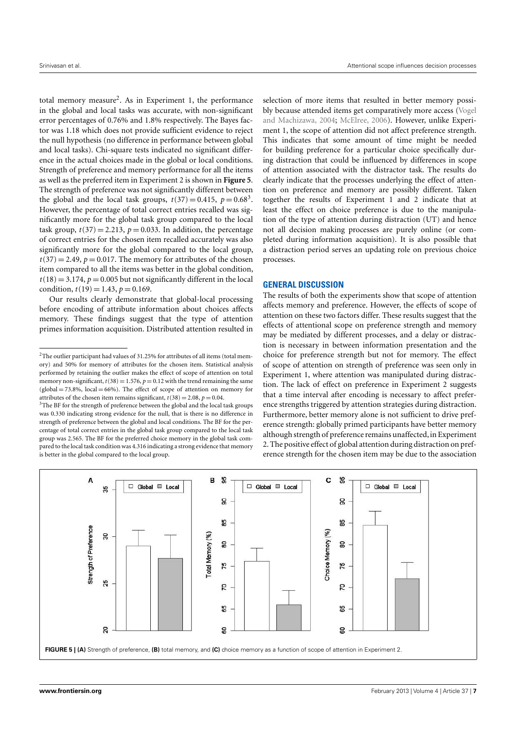total memory measure<sup>2</sup>. As in Experiment 1, the performance in the global and local tasks was accurate, with non-significant error percentages of 0.76% and 1.8% respectively. The Bayes factor was 1.18 which does not provide sufficient evidence to reject the null hypothesis (no difference in performance between global and local tasks). Chi-square tests indicated no significant difference in the actual choices made in the global or local conditions. Strength of preference and memory performance for all the items as well as the preferred item in Experiment 2 is shown in **Figure 5**. The strength of preference was not significantly different between the global and the local task groups,  $t(37) = 0.415$ ,  $p = 0.68<sup>3</sup>$ . However, the percentage of total correct entries recalled was significantly more for the global task group compared to the local task group,  $t(37) = 2.213$ ,  $p = 0.033$ . In addition, the percentage of correct entries for the chosen item recalled accurately was also significantly more for the global compared to the local group,  $t(37) = 2.49$ ,  $p = 0.017$ . The memory for attributes of the chosen item compared to all the items was better in the global condition,  $t(18) = 3.174$ ,  $p = 0.005$  but not significantly different in the local condition,  $t(19) = 1.43$ ,  $p = 0.169$ .

Our results clearly demonstrate that global-local processing before encoding of attribute information about choices affects memory. These findings suggest that the type of attention primes information acquisition. Distributed attention resulted in

selection of more items that resulted in better memory possibly because attended items get comparatively more access (Vogel and Machizawa, 2004; McElree, 2006). However, unlike Experiment 1, the scope of attention did not affect preference strength. This indicates that some amount of time might be needed for building preference for a particular choice specifically during distraction that could be influenced by differences in scope of attention associated with the distractor task. The results do clearly indicate that the processes underlying the effect of attention on preference and memory are possibly different. Taken together the results of Experiment 1 and 2 indicate that at least the effect on choice preference is due to the manipulation of the type of attention during distraction (UT) and hence not all decision making processes are purely online (or completed during information acquisition). It is also possible that a distraction period serves an updating role on previous choice processes.

## **GENERAL DISCUSSION**

The results of both the experiments show that scope of attention affects memory and preference. However, the effects of scope of attention on these two factors differ. These results suggest that the effects of attentional scope on preference strength and memory may be mediated by different processes, and a delay or distraction is necessary in between information presentation and the choice for preference strength but not for memory. The effect of scope of attention on strength of preference was seen only in Experiment 1, where attention was manipulated during distraction. The lack of effect on preference in Experiment 2 suggests that a time interval after encoding is necessary to affect preference strengths triggered by attention strategies during distraction. Furthermore, better memory alone is not sufficient to drive preference strength: globally primed participants have better memory although strength of preference remains unaffected, in Experiment 2. The positive effect of global attention during distraction on preference strength for the chosen item may be due to the association



 $2$ The outlier participant had values of 31.25% for attributes of all items (total memory) and 50% for memory of attributes for the chosen item. Statistical analysis performed by retaining the outlier makes the effect of scope of attention on total memory non-significant,  $t(38) = 1.576$ ,  $p = 0.12$  with the trend remaining the same  $(global = 73.8\%, local = 66\%).$  The effect of scope of attention on memory for attributes of the chosen item remains significant,  $t(38) = 2.08$ ,  $p = 0.04$ .

 $3$ The BF for the strength of preference between the global and the local task groups was 0.330 indicating strong evidence for the null, that is there is no difference in strength of preference between the global and local conditions. The BF for the percentage of total correct entries in the global task group compared to the local task group was 2.565. The BF for the preferred choice memory in the global task compared to the local task condition was 4.316 indicating a strong evidence that memory is better in the global compared to the local group.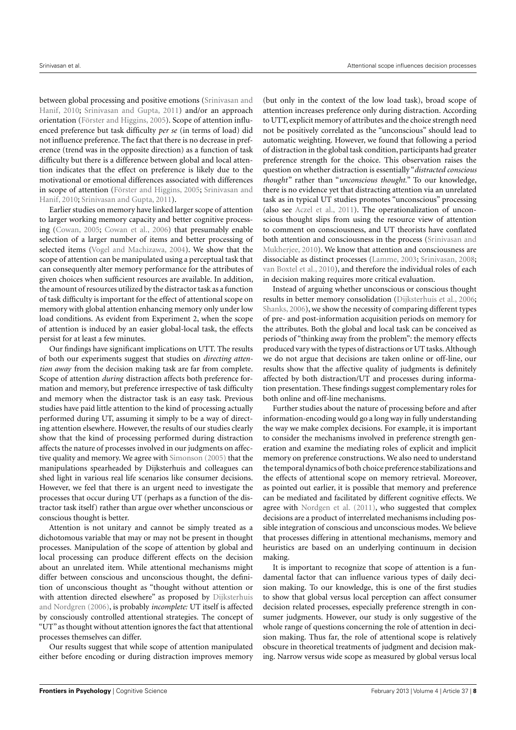between global processing and positive emotions (Srinivasan and Hanif, 2010; Srinivasan and Gupta, 2011) and/or an approach orientation (Förster and Higgins, 2005). Scope of attention influenced preference but task difficulty *per se* (in terms of load) did not influence preference. The fact that there is no decrease in preference (trend was in the opposite direction) as a function of task difficulty but there is a difference between global and local attention indicates that the effect on preference is likely due to the motivational or emotional differences associated with differences in scope of attention (Förster and Higgins, 2005; Srinivasan and Hanif, 2010; Srinivasan and Gupta, 2011).

Earlier studies on memory have linked larger scope of attention to larger working memory capacity and better cognitive processing (Cowan, 2005; Cowan et al., 2006) that presumably enable selection of a larger number of items and better processing of selected items (Vogel and Machizawa, 2004). We show that the scope of attention can be manipulated using a perceptual task that can consequently alter memory performance for the attributes of given choices when sufficient resources are available. In addition, the amount of resources utilized by the distractor task as a function of task difficulty is important for the effect of attentional scope on memory with global attention enhancing memory only under low load conditions. As evident from Experiment 2, when the scope of attention is induced by an easier global-local task, the effects persist for at least a few minutes.

Our findings have significant implications on UTT. The results of both our experiments suggest that studies on *directing attention away* from the decision making task are far from complete. Scope of attention *during* distraction affects both preference formation and memory, but preference irrespective of task difficulty and memory when the distractor task is an easy task. Previous studies have paid little attention to the kind of processing actually performed during UT, assuming it simply to be a way of directing attention elsewhere. However, the results of our studies clearly show that the kind of processing performed during distraction affects the nature of processes involved in our judgments on affective quality and memory. We agree with Simonson (2005) that the manipulations spearheaded by Dijksterhuis and colleagues can shed light in various real life scenarios like consumer decisions. However, we feel that there is an urgent need to investigate the processes that occur during UT (perhaps as a function of the distractor task itself) rather than argue over whether unconscious or conscious thought is better.

Attention is not unitary and cannot be simply treated as a dichotomous variable that may or may not be present in thought processes. Manipulation of the scope of attention by global and local processing can produce different effects on the decision about an unrelated item. While attentional mechanisms might differ between conscious and unconscious thought, the definition of unconscious thought as "thought without attention or with attention directed elsewhere" as proposed by Dijksterhuis and Nordgren (2006), is probably *incomplete:* UT itself is affected by consciously controlled attentional strategies. The concept of "UT" as thought without attention ignores the fact that attentional processes themselves can differ.

Our results suggest that while scope of attention manipulated either before encoding or during distraction improves memory

(but only in the context of the low load task), broad scope of attention increases preference only during distraction. According to UTT, explicit memory of attributes and the choice strength need not be positively correlated as the "unconscious" should lead to automatic weighting. However, we found that following a period of distraction in the global task condition, participants had greater preference strength for the choice. This observation raises the question on whether distraction is essentially "*distracted conscious thought* " rather than "*unconscious thought.*" To our knowledge, there is no evidence yet that distracting attention via an unrelated task as in typical UT studies promotes "unconscious" processing (also see Aczel et al., 2011). The operationalization of unconscious thought slips from using the resource view of attention to comment on consciousness, and UT theorists have conflated both attention and consciousness in the process (Srinivasan and Mukherjee, 2010). We know that attention and consciousness are dissociable as distinct processes (Lamme, 2003; Srinivasan, 2008; van Boxtel et al., 2010), and therefore the individual roles of each in decision making requires more critical evaluation.

Instead of arguing whether unconscious or conscious thought results in better memory consolidation (Dijksterhuis et al., 2006; Shanks, 2006), we show the necessity of comparing different types of pre- and post-information acquisition periods on memory for the attributes. Both the global and local task can be conceived as periods of "thinking away from the problem": the memory effects produced vary with the types of distractions or UT tasks. Although we do not argue that decisions are taken online or off-line, our results show that the affective quality of judgments is definitely affected by both distraction/UT and processes during information presentation. These findings suggest complementary roles for both online and off-line mechanisms.

Further studies about the nature of processing before and after information-encoding would go a long way in fully understanding the way we make complex decisions. For example, it is important to consider the mechanisms involved in preference strength generation and examine the mediating roles of explicit and implicit memory on preference constructions. We also need to understand the temporal dynamics of both choice preference stabilizations and the effects of attentional scope on memory retrieval. Moreover, as pointed out earlier, it is possible that memory and preference can be mediated and facilitated by different cognitive effects. We agree with Nordgen et al. (2011), who suggested that complex decisions are a product of interrelated mechanisms including possible integration of conscious and unconscious modes. We believe that processes differing in attentional mechanisms, memory and heuristics are based on an underlying continuum in decision making.

It is important to recognize that scope of attention is a fundamental factor that can influence various types of daily decision making. To our knowledge, this is one of the first studies to show that global versus local perception can affect consumer decision related processes, especially preference strength in consumer judgments. However, our study is only suggestive of the whole range of questions concerning the role of attention in decision making. Thus far, the role of attentional scope is relatively obscure in theoretical treatments of judgment and decision making. Narrow versus wide scope as measured by global versus local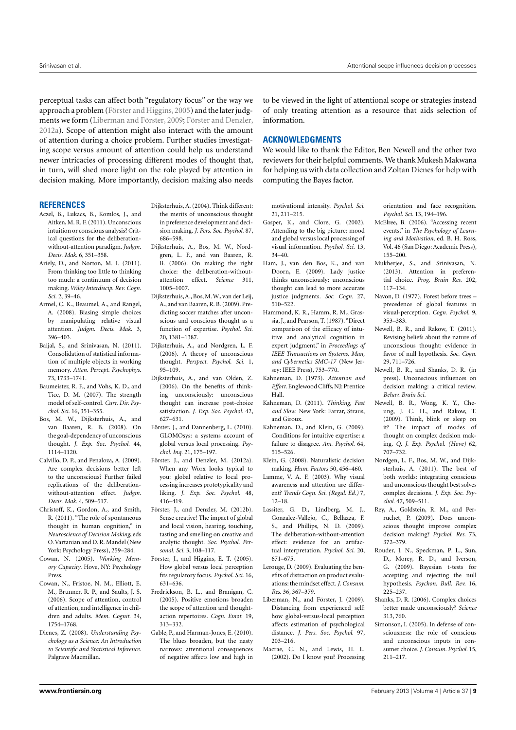perceptual tasks can affect both "regulatory focus" or the way we approach a problem (Förster and Higgins,2005) and the later judgments we form (Liberman and Förster, 2009; Förster and Denzler, 2012a). Scope of attention might also interact with the amount of attention during a choice problem. Further studies investigating scope versus amount of attention could help us understand newer intricacies of processing different modes of thought that, in turn, will shed more light on the role played by attention in decision making. More importantly, decision making also needs

#### **REFERENCES**

- Aczel, B., Lukacs, B., Komlos, J., and Aitken,M. R. F. (2011). Unconscious intuition or conscious analysis? Critical questions for the deliberationwithout-attention paradigm. *Judgm. Decis. Mak.* 6, 351–358.
- Ariely, D., and Norton, M. I. (2011). From thinking too little to thinking too much: a continuum of decision making. *Wiley Interdiscip. Rev. Cogn. Sci.* 2, 39–46.
- Armel, C. K., Beaumel, A., and Rangel, A. (2008). Biasing simple choices by manipulating relative visual attention. *Judgm. Decis. Mak.* 3, 396–403.
- Baijal, S., and Srinivasan, N. (2011). Consolidation of statistical information of multiple objects in working memory. *Atten. Percept. Psychophys.* 73, 1733–1741.
- Baumeister, R. F., and Vohs, K. D., and Tice, D. M. (2007). The strength model of self-control. *Curr. Dir. Psychol. Sci.* 16, 351–355.
- Bos, M. W., Dijksterhuis, A., and van Baaren, R. B. (2008). On the goal-dependency of unconscious thought. *J. Exp. Soc. Psychol.* 44, 1114–1120.
- Calvillo, D. P., and Penaloza, A. (2009). Are complex decisions better left to the unconscious? Further failed replications of the deliberationwithout-attention effect. *Judgm. Decis. Mak.* 4, 509–517.
- Christoff, K., Gordon, A., and Smith, R. (2011). "The role of spontaneous thought in human cognition," in *Neuroscience of Decision Making*, eds O. Vartanian and D. R. Mandel (New York: Psychology Press), 259–284.
- Cowan, N. (2005). *Working Memory Capacity*. Hove, NY: Psychology Press.
- Cowan, N., Fristoe, N. M., Elliott, E. M., Brunner, R. P., and Saults, J. S. (2006). Scope of attention, control of attention, and intelligence in children and adults. *Mem. Cognit.* 34, 1754–1768.
- Dienes, Z. (2008). *Understanding Psychology as a Science: An Introduction to Scientific and Statistical Inference*. Palgrave Macmillan.
- Dijksterhuis, A. (2004). Think different: the merits of unconscious thought in preference development and decision making. *J. Pers. Soc. Psychol.* 87, 686–598.
- Dijksterhuis, A., Bos, M. W., Nordgren, L. F., and van Baaren, R. B. (2006). On making the right choice: the deliberation-withoutattention effect. *Science* 311, 1005–1007.
- Dijksterhuis,A., Bos,M.W., van der Leij, A., and van Baaren, R. B. (2009). Predicting soccer matches after unconscious and conscious thought as a function of expertise. *Psychol. Sci.* 20, 1381–1387.
- Dijksterhuis, A., and Nordgren, L. F. (2006). A theory of unconscious thought. *Perspect. Psychol. Sci.* 1, 95–109.
- Dijksterhuis, A., and van Olden, Z. (2006). On the benefits of thinking unconsciously: unconscious thought can increase post-choice satisfaction. *J. Exp. Soc. Psychol.* 42, 627–631.
- Förster, J., and Dannenberg, L. (2010). GLOMOsys: a systems account of global versus local processing. *Psychol. Inq.* 21, 175–197.
- Förster, J., and Denzler, M. (2012a). When any Worx looks typical to you: global relative to local processing increases prototypicality and liking. *J. Exp. Soc. Psychol.* 48, 416–419.
- Förster, J., and Denzler, M. (2012b). Sense creative! The impact of global and local vision, hearing, touching, tasting and smelling on creative and analytic thought. *Soc. Psychol. Personal. Sci.* 3, 108–117.
- Förster, J., and Higgins, E. T. (2005). How global versus local perception fits regulatory focus. *Psychol. Sci.* 16, 631–636.
- Fredrickson, B. L., and Branigan, C. (2005). Positive emotions broaden the scope of attention and thoughtaction repertoires. *Cogn. Emot.* 19, 313–332.
- Gable, P., and Harman-Jones, E. (2010). The blues broaden, but the nasty narrows: attentional consequences of negative affects low and high in

to be viewed in the light of attentional scope or strategies instead of only treating attention as a resource that aids selection of information.

#### **ACKNOWLEDGMENTS**

We would like to thank the Editor, Ben Newell and the other two reviewers for their helpful comments.We thank Mukesh Makwana for helping us with data collection and Zoltan Dienes for help with computing the Bayes factor.

motivational intensity. *Psychol. Sci.* 21, 211–215.

- Gasper, K., and Clore, G. (2002). Attending to the big picture: mood and global versus local processing of visual information. *Psychol. Sci.* 13, 34–40.
- Ham, J., van den Bos, K., and van Doorn, E. (2009). Lady justice thinks unconsciously: unconscious thought can lead to more accurate justice judgments. *Soc. Cogn.* 27, 510–522.
- Hammond, K. R., Hamm, R. M., Grassia, J., and Pearson, T. (1987)."Direct comparison of the efficacy of intuitive and analytical cognition in expert judgment," in *Proceedings of IEEE Transactions on Systems, Man, and Cybernetics SMC-17* (New Jersey: IEEE Press), 753–770.
- Kahneman, D. (1973). *Attention and Effort*. Englewood Cliffs,NJ: Prentice Hall.
- Kahneman, D. (2011). *Thinking, Fast and Slow*. New York: Farrar, Straus, and Giroux.
- Kahneman, D., and Klein, G. (2009). Conditions for intuitive expertise: a failure to disagree. *Am. Psychol.* 64, 515–526.
- Klein, G. (2008). Naturalistic decision making. *Hum. Factors* 50, 456–460.
- Lamme, V. A. F. (2003). Why visual awareness and attention are different? *Trends Cogn. Sci. (Regul. Ed.)* 7, 12–18.
- Lassiter, G. D., Lindberg, M. J., Gonzalez-Vallejo, C., Bellazza, F. S., and Phillips, N. D. (2009). The deliberation-without-attention effect: evidence for an artifactual interpretation. *Psychol. Sci.* 20, 671–675.
- Lerouge, D. (2009). Evaluating the benefits of distraction on product evaluations: the mindset effect.*J. Consum. Res.* 36, 367–379.
- Liberman, N., and Förster, J. (2009). Distancing from experienced self: how global-versus-local perception affects estimation of psychological distance. *J. Pers. Soc. Psychol.* 97, 203–216.
- Macrae, C. N., and Lewis, H. L. (2002). Do I know you? Processing

orientation and face recognition. *Psychol. Sci.* 13, 194–196.

- McElree, B. (2006). "Accessing recent events," in *The Psychology of Learning and Motivation*, ed. B. H. Ross, Vol. 46 (San Diego: Academic Press), 155–200.
- Mukherjee, S., and Srinivasan, N. (2013). Attention in preferential choice. *Prog. Brain Res.* 202, 117–134.
- Navon, D. (1977). Forest before trees precedence of global features in visual-perception. *Cogn. Psychol.* 9, 353–383.
- Newell, B. R., and Rakow, T. (2011). Revising beliefs about the nature of unconscious thought: evidence in favor of null hypothesis. *Soc. Cogn.* 29, 711–726.
- Newell, B. R., and Shanks, D. R. (in press). Unconscious influences on decision making: a critical review. *Behav. Brain Sci.*
- Newell, B. R., Wong, K. Y., Cheung, J. C. H., and Rakow, T. (2009). Think, blink or sleep on it? The impact of modes of thought on complex decision making. *Q. J. Exp. Psychol. (Hove)* 62, 707–732.
- Nordgen, L. F., Bos, M. W., and Dijksterhuis, A. (2011). The best of both worlds: integrating conscious and unconscious thought best solves complex decisions. *J. Exp. Soc. Psychol.* 47, 509–511.
- Rey, A., Goldstein, R. M., and Perruchet, P. (2009). Does unconscious thought improve complex decision making? *Psychol. Res.* 73, 372–379.
- Rouder, J. N., Speckman, P. L., Sun, D., Morey, R. D., and Iverson, G. (2009). Bayesian t-tests for accepting and rejecting the null hypothesis. *Psychon. Bull. Rev.* 16, 225–237.
- Shanks, D. R. (2006). Complex choices better made unconsciously? *Science* 313, 760.
- Simonson, I. (2005). In defense of consciousness: the role of conscious and unconscious inputs in consumer choice. *J. Consum. Psychol.* 15, 211–217.